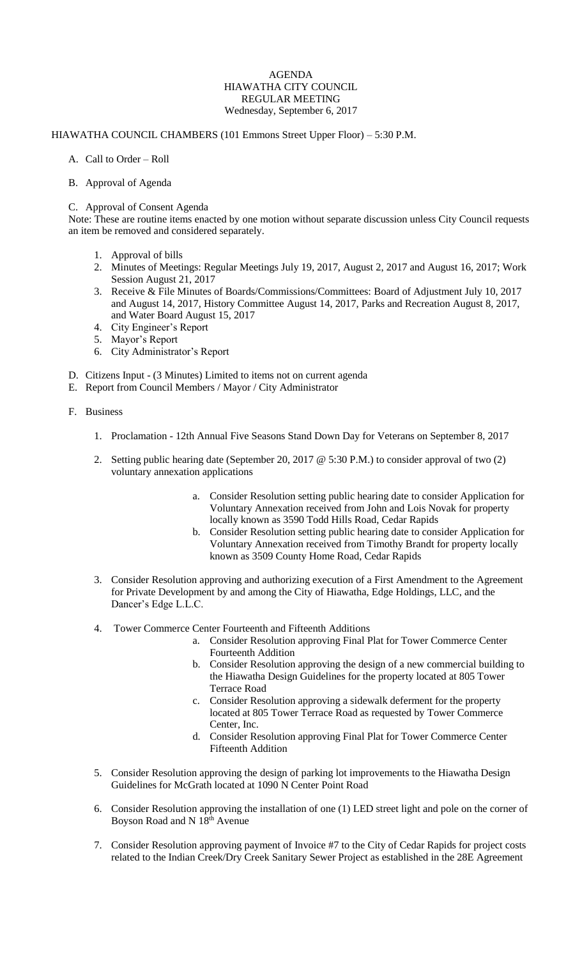## AGENDA HIAWATHA CITY COUNCIL REGULAR MEETING Wednesday, September 6, 2017

## HIAWATHA COUNCIL CHAMBERS (101 Emmons Street Upper Floor) – 5:30 P.M.

- A. Call to Order Roll
- B. Approval of Agenda

## C. Approval of Consent Agenda

Note: These are routine items enacted by one motion without separate discussion unless City Council requests an item be removed and considered separately.

- 1. Approval of bills
- 2. Minutes of Meetings: Regular Meetings July 19, 2017, August 2, 2017 and August 16, 2017; Work Session August 21, 2017
- 3. Receive & File Minutes of Boards/Commissions/Committees: Board of Adjustment July 10, 2017 and August 14, 2017, History Committee August 14, 2017, Parks and Recreation August 8, 2017, and Water Board August 15, 2017
- 4. City Engineer's Report
- 5. Mayor's Report
- 6. City Administrator's Report
- D. Citizens Input (3 Minutes) Limited to items not on current agenda
- E. Report from Council Members / Mayor / City Administrator
- F. Business
	- 1. Proclamation 12th Annual Five Seasons Stand Down Day for Veterans on September 8, 2017
	- 2. Setting public hearing date (September 20, 2017 @ 5:30 P.M.) to consider approval of two (2) voluntary annexation applications
		- a. Consider Resolution setting public hearing date to consider Application for Voluntary Annexation received from John and Lois Novak for property locally known as 3590 Todd Hills Road, Cedar Rapids
		- b. Consider Resolution setting public hearing date to consider Application for Voluntary Annexation received from Timothy Brandt for property locally known as 3509 County Home Road, Cedar Rapids
	- 3. Consider Resolution approving and authorizing execution of a First Amendment to the Agreement for Private Development by and among the City of Hiawatha, Edge Holdings, LLC, and the Dancer's Edge L.L.C.
	- 4. Tower Commerce Center Fourteenth and Fifteenth Additions
		- a. Consider Resolution approving Final Plat for Tower Commerce Center Fourteenth Addition
		- b. Consider Resolution approving the design of a new commercial building to the Hiawatha Design Guidelines for the property located at 805 Tower Terrace Road
		- c. Consider Resolution approving a sidewalk deferment for the property located at 805 Tower Terrace Road as requested by Tower Commerce Center, Inc.
		- d. Consider Resolution approving Final Plat for Tower Commerce Center Fifteenth Addition
	- 5. Consider Resolution approving the design of parking lot improvements to the Hiawatha Design Guidelines for McGrath located at 1090 N Center Point Road
	- 6. Consider Resolution approving the installation of one (1) LED street light and pole on the corner of Boyson Road and N 18th Avenue
	- 7. Consider Resolution approving payment of Invoice #7 to the City of Cedar Rapids for project costs related to the Indian Creek/Dry Creek Sanitary Sewer Project as established in the 28E Agreement